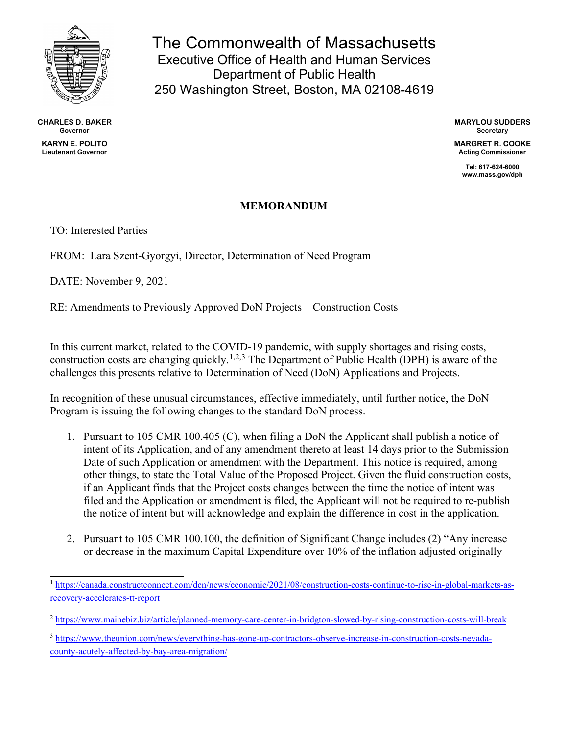

**CHARLES D. BAKER Governor KARYN E. POLITO Lieutenant Governor**

The Commonwealth of Massachusetts Executive Office of Health and Human Services Department of Public Health 250 Washington Street, Boston, MA 02108-4619

> **MARYLOU SUDDERS Secretary**

**MARGRET R. COOKE Acting Commissioner**

> **Tel: 617-624-6000 www.mass.gov/dph**

## **MEMORANDUM**

TO: Interested Parties

FROM: Lara Szent-Gyorgyi, Director, Determination of Need Program

DATE: November 9, 2021

RE: Amendments to Previously Approved DoN Projects – Construction Costs

In this current market, related to the COVID-19 pandemic, with supply shortages and rising costs, construction costs are changing quickly.<sup>[1](#page-0-0),[2](#page-0-1),[3](#page-0-2)</sup> The Department of Public Health (DPH) is aware of the challenges this presents relative to Determination of Need (DoN) Applications and Projects.

In recognition of these unusual circumstances, effective immediately, until further notice, the DoN Program is issuing the following changes to the standard DoN process.

- 1. Pursuant to 105 CMR 100.405 (C), when filing a DoN the Applicant shall publish a notice of intent of its Application, and of any amendment thereto at least 14 days prior to the Submission Date of such Application or amendment with the Department. This notice is required, among other things, to state the Total Value of the Proposed Project. Given the fluid construction costs, if an Applicant finds that the Project costs changes between the time the notice of intent was filed and the Application or amendment is filed, the Applicant will not be required to re-publish the notice of intent but will acknowledge and explain the difference in cost in the application.
- 2. Pursuant to 105 CMR 100.100, the definition of Significant Change includes (2) "Any increase or decrease in the maximum Capital Expenditure over 10% of the inflation adjusted originally

<span id="page-0-0"></span><sup>1</sup> [https://canada.constructconnect.com/dcn/news/economic/2021/08/construction-costs-continue-to-rise-in-global-markets-as](https://canada.constructconnect.com/dcn/news/economic/2021/08/construction-costs-continue-to-rise-in-global-markets-as-recovery-accelerates-tt-report)[recovery-accelerates-tt-report](https://canada.constructconnect.com/dcn/news/economic/2021/08/construction-costs-continue-to-rise-in-global-markets-as-recovery-accelerates-tt-report)

<span id="page-0-1"></span><sup>2</sup> <https://www.mainebiz.biz/article/planned-memory-care-center-in-bridgton-slowed-by-rising-construction-costs-will-break>

<span id="page-0-2"></span><sup>3</sup> [https://www.theunion.com/news/everything-has-gone-up-contractors-observe-increase-in-construction-costs-nevada](https://www.theunion.com/news/everything-has-gone-up-contractors-observe-increase-in-construction-costs-nevada-county-acutely-affected-by-bay-area-migration/)[county-acutely-affected-by-bay-area-migration/](https://www.theunion.com/news/everything-has-gone-up-contractors-observe-increase-in-construction-costs-nevada-county-acutely-affected-by-bay-area-migration/)